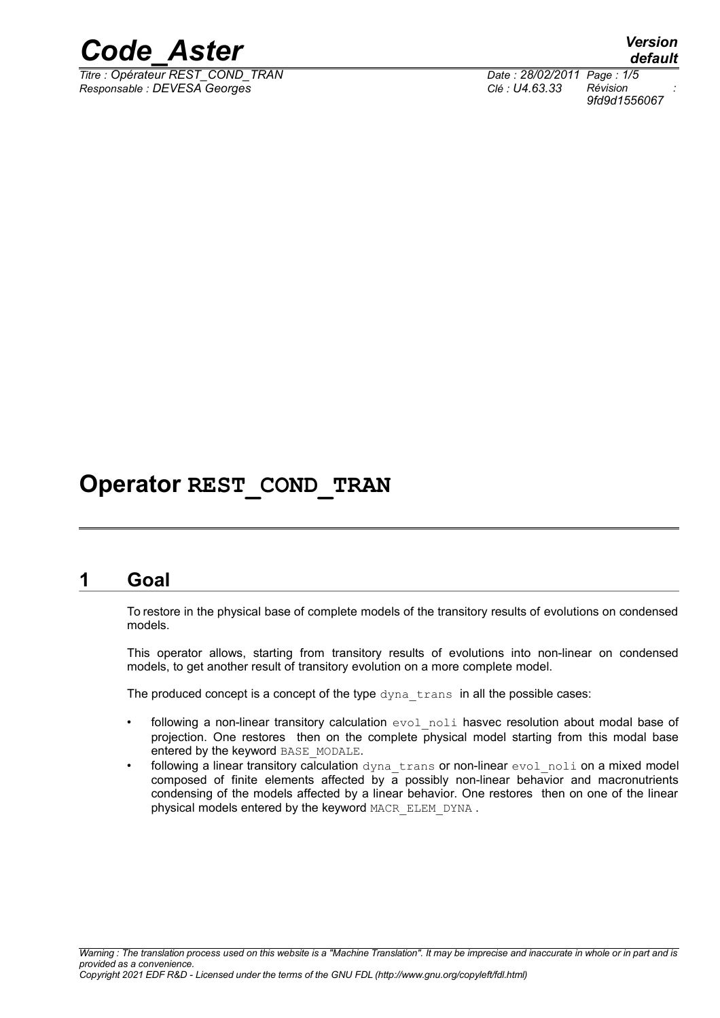

*Titre : Opérateur REST\_COND\_TRAN Date : 28/02/2011 Page : 1/5 Responsable : DEVESA Georges Clé : U4.63.33 Révision :*

*default 9fd9d1556067*

# **Operator REST\_COND\_TRAN**

# **1 Goal**

To restore in the physical base of complete models of the transitory results of evolutions on condensed models.

This operator allows, starting from transitory results of evolutions into non-linear on condensed models, to get another result of transitory evolution on a more complete model.

The produced concept is a concept of the type dyna trans in all the possible cases:

- following a non-linear transitory calculation  $evol$  noli hasvec resolution about modal base of projection. One restores then on the complete physical model starting from this modal base entered by the keyword BASE\_MODALE.
- following a linear transitory calculation dyna trans or non-linear evol noli on a mixed model composed of finite elements affected by  $a$  possibly non-linear behavior and macronutrients condensing of the models affected by a linear behavior. One restores then on one of the linear physical models entered by the keyword MACR\_ELEM\_DYNA.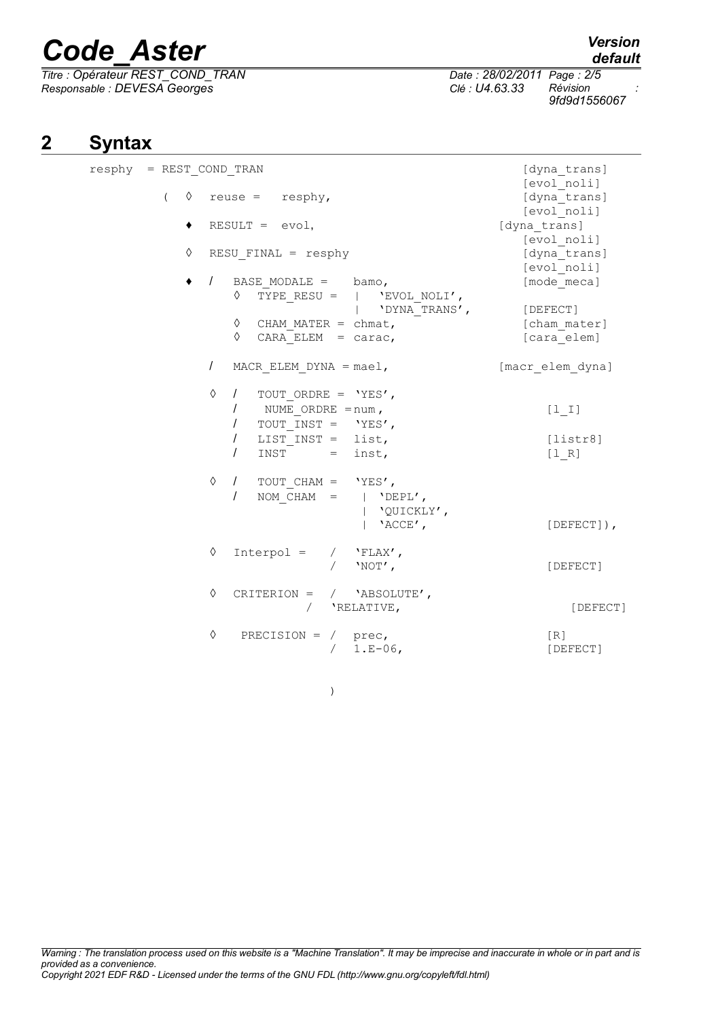*Titre : Opérateur REST\_COND\_TRAN Date : 28/02/2011 Page : 2/5 Responsable : DEVESA Georges Clé : U4.63.33 Révision :*

)

# **2 Syntax**

| resphy = REST COND TRAN | [dyna trans]<br>[evol noli]                                                                                                                                                        |                                  |
|-------------------------|------------------------------------------------------------------------------------------------------------------------------------------------------------------------------------|----------------------------------|
| ♦<br>$\left($           | $reuse = resphy,$                                                                                                                                                                  | [dyna trans]<br>[evol noli]      |
| ٠                       | $RESULT = evol,$                                                                                                                                                                   | [dyna trans]<br>[evol noli]      |
| ♦                       | $RESU$ FINAL = resphy                                                                                                                                                              | [dyna trans]<br>[evol noli]      |
|                         | BASE MODALE $=$ bamo,<br>$\prime$<br>TYPE RESU = $ $ 'EVOL NOLI',<br>♦<br>'DYNA TRANS',                                                                                            | [mode meca]<br>[DEFECT]          |
|                         | ♦<br>CHAM MATER = $chmat$ ,<br>CARA ELEM = $carc,$<br>♦                                                                                                                            | [cham mater]<br>[cara elem]      |
|                         | $\prime$<br>MACR ELEM DYNA = $mael$ ,                                                                                                                                              | [macr elem dyna]                 |
|                         | ♦<br>$\sqrt{2}$<br>TOUT ORDRE = $'YES'$ ,<br>$\prime$<br>NUME ORDRE $=$ num,<br>TOUT INST = $'YES'$ ,<br>$\prime$<br>$\prime$<br>LIST $INST = list,$<br>$\prime$<br>$INST = inst,$ | $[1 1]$<br>[liststr8]<br>$[1 R]$ |
|                         | ♦<br>$\sqrt{2}$<br>TOUT CHAM = $'YES'$ ,<br>NOM CHAM = $ $ 'DEPL',<br>$\prime$<br>'QUICKLY',<br>$'$ ACCE $'$ ,                                                                     | $[DEFECT]$ ,                     |
|                         | ♦<br>$Interpol = / 'FLAX',$<br>$'NOT'$ ,                                                                                                                                           | [DEFECT]                         |
|                         | ♦<br>CRITERION = $/$ 'ABSOLUTE',<br>'RELATIVE,<br>$\sqrt{2}$                                                                                                                       | [DEFECT]                         |
|                         | ♦<br>PRECISION = $/$ prec,<br>$1.E-06,$                                                                                                                                            | [R]<br>[DEFECT]                  |

*9fd9d1556067*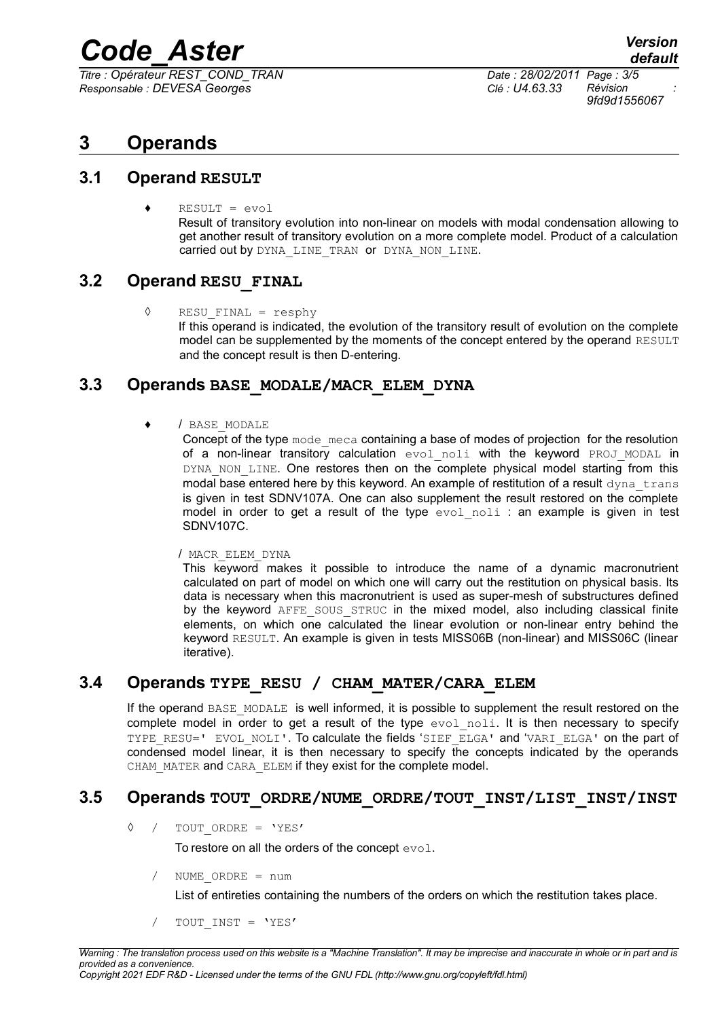*Titre : Opérateur REST\_COND\_TRAN Date : 28/02/2011 Page : 3/5 Responsable : DEVESA Georges Clé : U4.63.33 Révision :*

*9fd9d1556067*

# **3 Operands**

#### **3.1 Operand RESULT**

 $RESULT = evol$ Result of transitory evolution into non-linear on models with modal condensation allowing to get another result of transitory evolution on a more complete model. Product of a calculation carried out by DYNA LINE TRAN or DYNA NON LINE.

# **3.2 Operand RESU\_FINAL**

◊ RESU\_FINAL = resphy If this operand is indicated, the evolution of the transitory result of evolution on the complete model can be supplemented by the moments of the concept entered by the operand RESULT and the concept result is then D-entering.

# **3.3 Operands BASE\_MODALE/MACR\_ELEM\_DYNA**

#### / BASE MODALE

Concept of the type mode meca containing a base of modes of projection for the resolution of a non-linear transitory calculation evol noli with the keyword PROJ MODAL in DYNA NON LINE. One restores then on the complete physical model starting from this modal base entered here by this keyword. An example of restitution of a result dyna trans is given in test SDNV107A. One can also supplement the result restored on the complete model in order to get a result of the type  $evolnoli$  : an example is given in test SDNV107C.

#### / MACR\_ELEM\_DYNA

This keyword makes it possible to introduce the name of a dynamic macronutrient calculated on part of model on which one will carry out the restitution on physical basis. Its data is necessary when this macronutrient is used as super-mesh of substructures defined by the keyword AFFE SOUS STRUC in the mixed model, also including classical finite elements, on which one calculated the linear evolution or non-linear entry behind the keyword RESULT. An example is given in tests MISS06B (non-linear) and MISS06C (linear iterative).

# **3.4 Operands TYPE\_RESU / CHAM\_MATER/CARA\_ELEM**

If the operand BASE\_MODALE is well informed, it is possible to supplement the result restored on the complete model in order to get a result of the type  $evol$   $noli$ . It is then necessary to specify TYPE\_RESU=' EVOL\_NOLI'. To calculate the fields 'SIEF\_ELGA' and 'VARI\_ELGA' on the part of condensed model linear, it is then necessary to specify the concepts indicated by the operands CHAM MATER and CARA ELEM if they exist for the complete model.

# **3.5 Operands TOUT\_ORDRE/NUME\_ORDRE/TOUT\_INST/LIST\_INST/INST**

◊ / TOUT\_ORDRE = 'YES'

To restore on all the orders of the concept evol.

/ NUME\_ORDRE = num

List of entireties containing the numbers of the orders on which the restitution takes place.

TOUT INST = 'YES'

*Warning : The translation process used on this website is a "Machine Translation". It may be imprecise and inaccurate in whole or in part and is provided as a convenience.*

*Copyright 2021 EDF R&D - Licensed under the terms of the GNU FDL (http://www.gnu.org/copyleft/fdl.html)*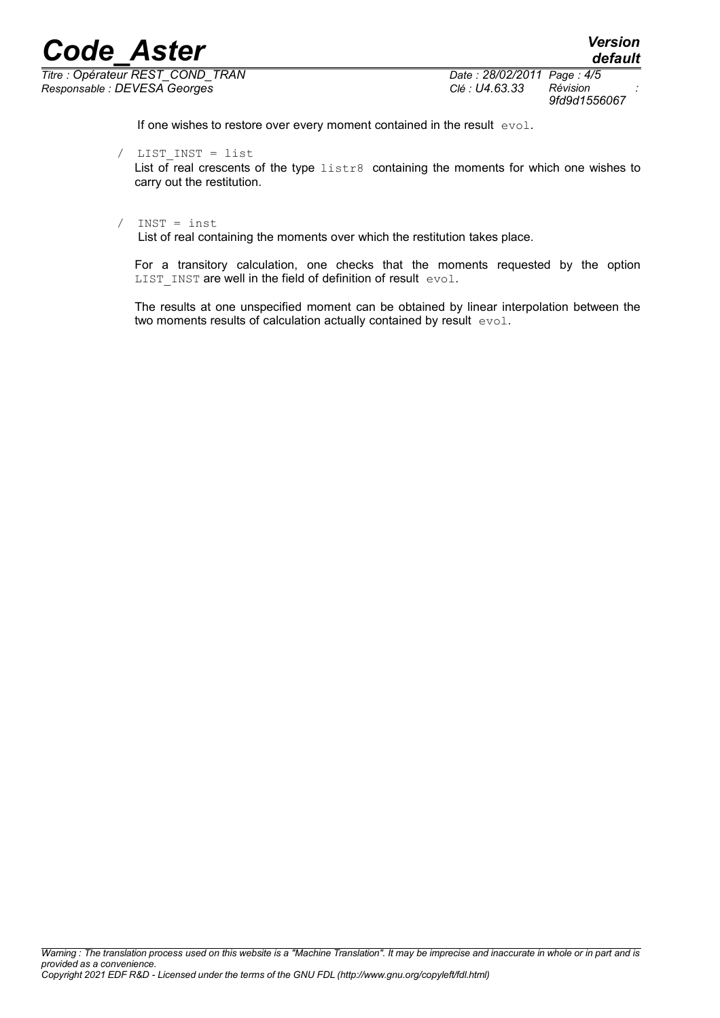*Titre : Opérateur REST\_COND\_TRAN Date : 28/02/2011 Page : 4/5 Responsable : DEVESA Georges Clé : U4.63.33 Révision :*

*default 9fd9d1556067*

If one wishes to restore over every moment contained in the result evol.

#### / LIST\_INST = list

List of real crescents of the type listr8 containing the moments for which one wishes to carry out the restitution.

#### / INST = inst

List of real containing the moments over which the restitution takes place.

For a transitory calculation, one checks that the moments requested by the option LIST INST are well in the field of definition of result evol.

The results at one unspecified moment can be obtained by linear interpolation between the two moments results of calculation actually contained by result evol.